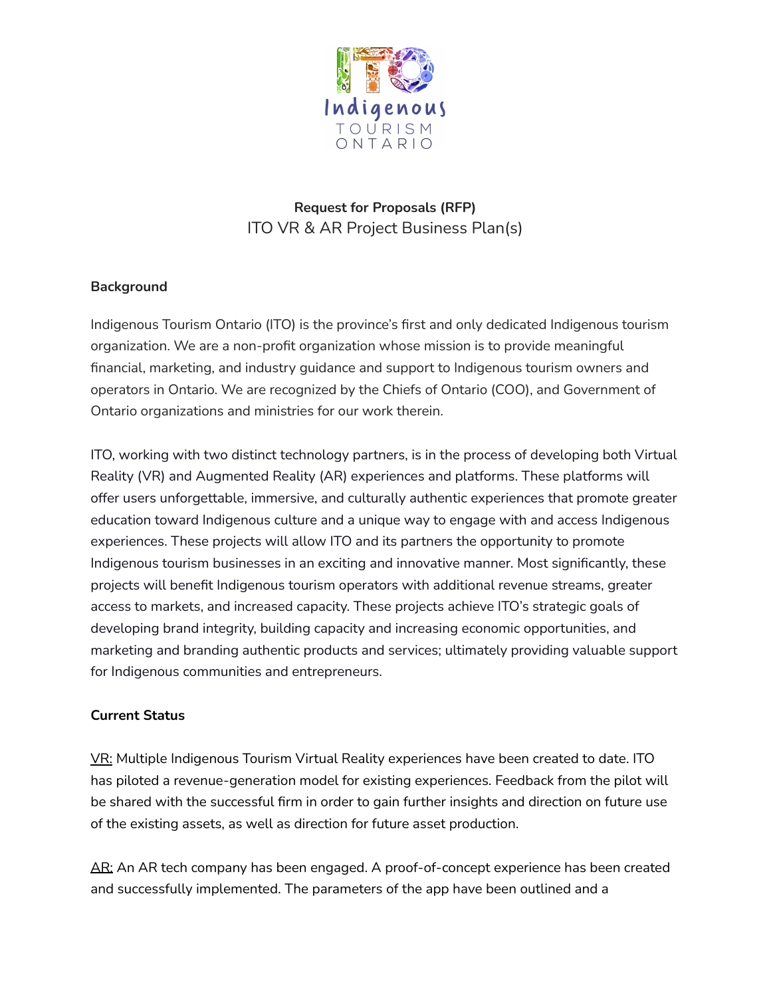

**Request for Proposals (RFP)** ITO VR & AR Project Business Plan(s)

## **Background**

Indigenous Tourism Ontario (ITO) is the province's first and only dedicated Indigenous tourism organization. We are a non-profit organization whose mission is to provide meaningful financial, marketing, and industry guidance and support to Indigenous tourism owners and operators in Ontario. We are recognized by the Chiefs of Ontario (COO), and Government of Ontario organizations and ministries for our work therein.

ITO, working with two distinct technology partners, is in the process of developing both Virtual Reality (VR) and Augmented Reality (AR) experiences and platforms. These platforms will offer users unforgettable, immersive, and culturally authentic experiences that promote greater education toward Indigenous culture and a unique way to engage with and access Indigenous experiences. These projects will allow ITO and its partners the opportunity to promote Indigenous tourism businesses in an exciting and innovative manner. Most significantly, these projects will benefit Indigenous tourism operators with additional revenue streams, greater access to markets, and increased capacity. These projects achieve ITO's strategic goals of developing brand integrity, building capacity and increasing economic opportunities, and marketing and branding authentic products and services; ultimately providing valuable support for Indigenous communities and entrepreneurs.

#### **Current Status**

VR: Multiple Indigenous Tourism Virtual Reality experiences have been created to date. ITO has piloted a revenue-generation model for existing experiences. Feedback from the pilot will be shared with the successful firm in order to gain further insights and direction on future use of the existing assets, as well as direction for future asset production.

AR: An AR tech company has been engaged. A proof-of-concept experience has been created and successfully implemented. The parameters of the app have been outlined and a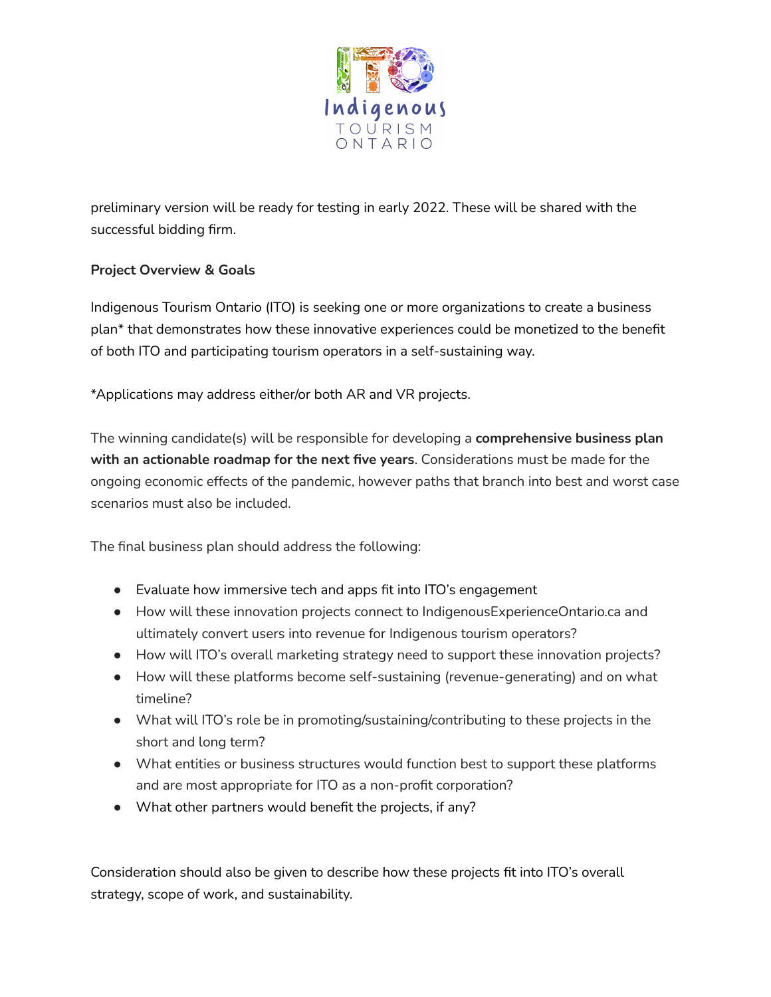

preliminary version will be ready for testing in early 2022. These will be shared with the successful bidding firm.

# **Project Overview & Goals**

Indigenous Tourism Ontario (ITO) is seeking one or more organizations to create a business plan\* that demonstrates how these innovative experiences could be monetized to the benefit of both ITO and participating tourism operators in a self-sustaining way.

\*Applications may address either/or both AR and VR projects.

The winning candidate(s) will be responsible for developing a **comprehensive business plan with an actionable roadmap for the next five years**. Considerations must be made for the ongoing economic effects of the pandemic, however paths that branch into best and worst case scenarios must also be included.

The final business plan should address the following:

- Evaluate how immersive tech and apps fit into ITO's engagement
- How will these innovation projects connect to IndigenousExperienceOntario.ca and ultimately convert users into revenue for Indigenous tourism operators?
- How will ITO's overall marketing strategy need to support these innovation projects?
- How will these platforms become self-sustaining (revenue-generating) and on what timeline?
- What will ITO's role be in promoting/sustaining/contributing to these projects in the short and long term?
- What entities or business structures would function best to support these platforms and are most appropriate for ITO as a non-profit corporation?
- What other partners would benefit the projects, if any?

Consideration should also be given to describe how these projects fit into ITO's overall strategy, scope of work, and sustainability.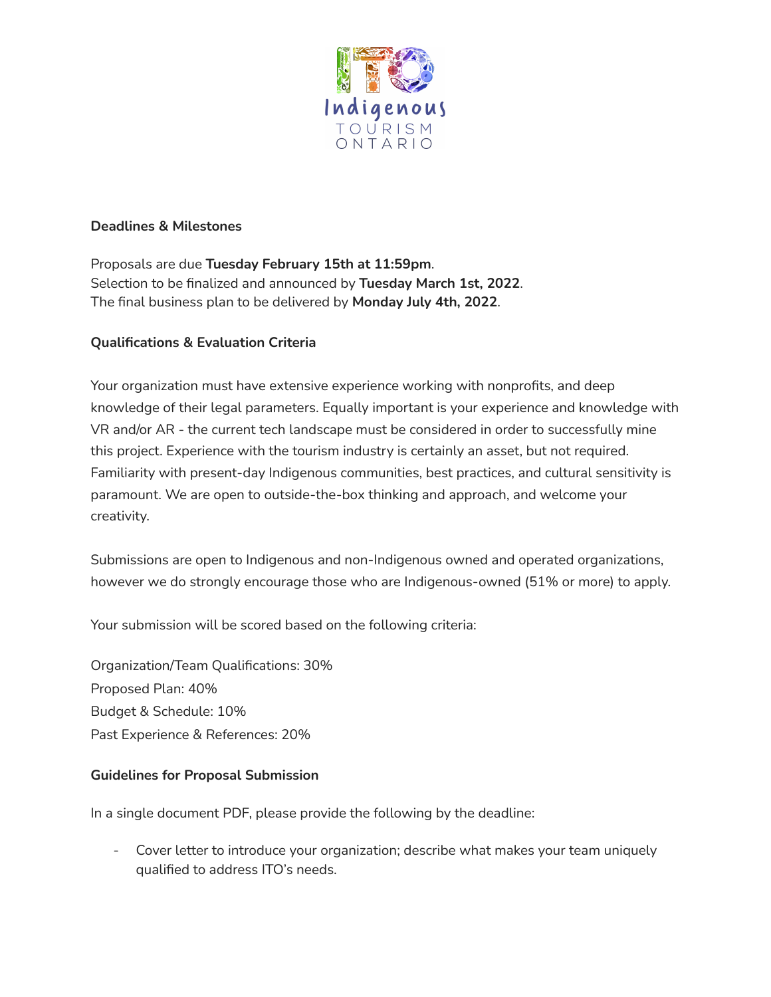

#### **Deadlines & Milestones**

Proposals are due **Tuesday February 15th at 11:59pm**. Selection to be finalized and announced by **Tuesday March 1st, 2022**. The final business plan to be delivered by **Monday July 4th, 2022**.

### **Qualifications & Evaluation Criteria**

Your organization must have extensive experience working with nonprofits, and deep knowledge of their legal parameters. Equally important is your experience and knowledge with VR and/or AR - the current tech landscape must be considered in order to successfully mine this project. Experience with the tourism industry is certainly an asset, but not required. Familiarity with present-day Indigenous communities, best practices, and cultural sensitivity is paramount. We are open to outside-the-box thinking and approach, and welcome your creativity.

Submissions are open to Indigenous and non-Indigenous owned and operated organizations, however we do strongly encourage those who are Indigenous-owned (51% or more) to apply.

Your submission will be scored based on the following criteria:

Organization/Team Qualifications: 30% Proposed Plan: 40% Budget & Schedule: 10% Past Experience & References: 20%

#### **Guidelines for Proposal Submission**

In a single document PDF, please provide the following by the deadline:

- Cover letter to introduce your organization; describe what makes your team uniquely qualified to address ITO's needs.